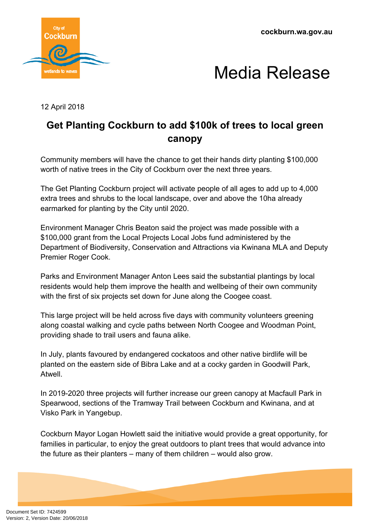**cockburn.wa.gov.au**





12 April 2018

## **Get Planting Cockburn to add \$100k of trees to local green canopy**

Community members will have the chance to get their hands dirty planting \$100,000 worth of native trees in the City of Cockburn over the next three years.

The Get Planting Cockburn project will activate people of all ages to add up to 4,000 extra trees and shrubs to the local landscape, over and above the 10ha already earmarked for planting by the City until 2020.

Environment Manager Chris Beaton said the project was made possible with a \$100,000 grant from the Local Projects Local Jobs fund administered by the Department of Biodiversity, Conservation and Attractions via Kwinana MLA and Deputy Premier Roger Cook.

Parks and Environment Manager Anton Lees said the substantial plantings by local residents would help them improve the health and wellbeing of their own community with the first of six projects set down for June along the Coogee coast.

This large project will be held across five days with community volunteers greening along coastal walking and cycle paths between North Coogee and Woodman Point, providing shade to trail users and fauna alike.

In July, plants favoured by endangered cockatoos and other native birdlife will be planted on the eastern side of Bibra Lake and at a cocky garden in Goodwill Park, Atwell.

In 2019-2020 three projects will further increase our green canopy at Macfaull Park in Spearwood, sections of the Tramway Trail between Cockburn and Kwinana, and at Visko Park in Yangebup.

Cockburn Mayor Logan Howlett said the initiative would provide a great opportunity, for families in particular, to enjoy the great outdoors to plant trees that would advance into the future as their planters – many of them children – would also grow.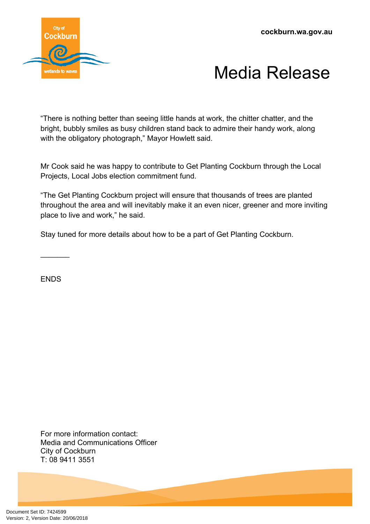**cockburn.wa.gov.au**



## Media Release

"There is nothing better than seeing little hands at work, the chitter chatter, and the bright, bubbly smiles as busy children stand back to admire their handy work, along with the obligatory photograph," Mayor Howlett said.

Mr Cook said he was happy to contribute to Get Planting Cockburn through the Local Projects, Local Jobs election commitment fund.

"The Get Planting Cockburn project will ensure that thousands of trees are planted throughout the area and will inevitably make it an even nicer, greener and more inviting place to live and work," he said.

Stay tuned for more details about how to be a part of Get Planting Cockburn.

**ENDS** 

 $\frac{1}{2}$ 

For more information contact: Media and Communications Officer City of Cockburn T: 08 9411 3551